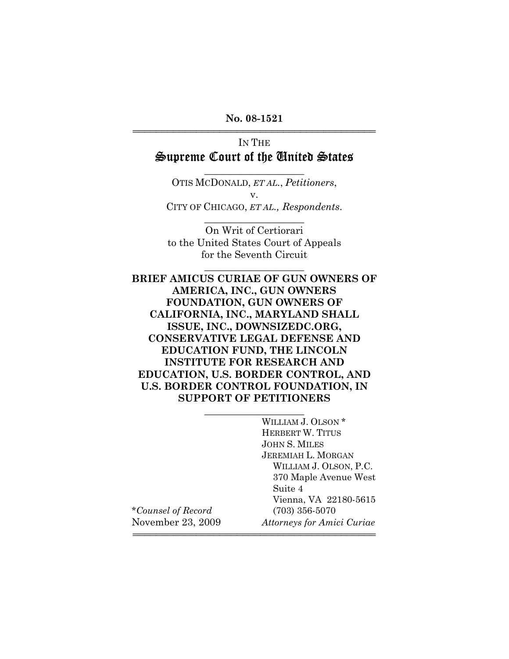**No. 08-1521** 444444444444444444444444444444444444444444

## IN THE Supreme Court of the United States

\_\_\_\_\_\_\_\_\_\_\_\_\_\_\_\_\_\_\_\_

OTIS MCDONALD, *ET AL.*, *Petitioners*, v. CITY OF CHICAGO, *ET AL., Respondents*.

On Writ of Certiorari to the United States Court of Appeals for the Seventh Circuit

\_\_\_\_\_\_\_\_\_\_\_\_\_\_\_\_\_\_\_\_

\_\_\_\_\_\_\_\_\_\_\_\_\_\_\_\_\_\_\_\_

## **BRIEF AMICUS CURIAE OF GUN OWNERS OF AMERICA, INC., GUN OWNERS FOUNDATION, GUN OWNERS OF CALIFORNIA, INC., MARYLAND SHALL ISSUE, INC., DOWNSIZEDC.ORG, CONSERVATIVE LEGAL DEFENSE AND EDUCATION FUND, THE LINCOLN INSTITUTE FOR RESEARCH AND EDUCATION, U.S. BORDER CONTROL, AND U.S. BORDER CONTROL FOUNDATION, IN SUPPORT OF PETITIONERS**

\_\_\_\_\_\_\_\_\_\_\_\_\_\_\_\_\_\_\_\_

WILLIAM J. OLSON \* HERBERT W. TITUS JOHN S. MILES JEREMIAH L. MORGAN WILLIAM J. OLSON, P.C. 370 Maple Avenue West Suite 4 Vienna, VA 22180-5615 \**Counsel of Record* (703) 356-5070 November 23, 2009 *Attorneys for Amici Curiae*

444444444444444444444444444444444444444444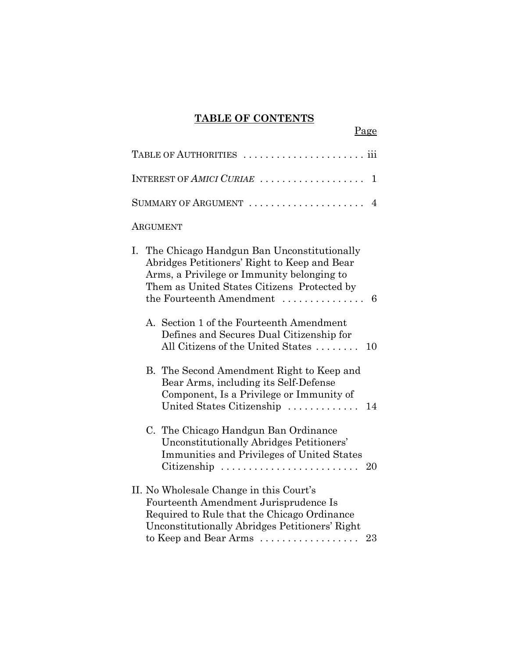## **TABLE OF CONTENTS**

Page

| TABLE OF AUTHORITIES                                                                                                                                                                                                                              |  |  |  |
|---------------------------------------------------------------------------------------------------------------------------------------------------------------------------------------------------------------------------------------------------|--|--|--|
| INTEREST OF AMICI CURIAE<br>1                                                                                                                                                                                                                     |  |  |  |
| SUMMARY OF ARGUMENT<br>4                                                                                                                                                                                                                          |  |  |  |
| ARGUMENT                                                                                                                                                                                                                                          |  |  |  |
| The Chicago Handgun Ban Unconstitutionally<br>Ι.<br>Abridges Petitioners' Right to Keep and Bear<br>Arms, a Privilege or Immunity belonging to<br>Them as United States Citizens Protected by<br>the Fourteenth Amendment<br>6                    |  |  |  |
| A. Section 1 of the Fourteenth Amendment<br>Defines and Secures Dual Citizenship for<br>All Citizens of the United States<br>10                                                                                                                   |  |  |  |
| B. The Second Amendment Right to Keep and<br>Bear Arms, including its Self-Defense<br>Component, Is a Privilege or Immunity of<br>United States Citizenship<br>14                                                                                 |  |  |  |
| C. The Chicago Handgun Ban Ordinance<br>Unconstitutionally Abridges Petitioners'<br>Immunities and Privileges of United States<br>Citizenship<br>20                                                                                               |  |  |  |
| II. No Wholesale Change in this Court's<br>Fourteenth Amendment Jurisprudence Is<br>Required to Rule that the Chicago Ordinance<br>Unconstitutionally Abridges Petitioners' Right<br>to Keep and Bear Arms $\dots\dots\dots\dots\dots\dots$<br>23 |  |  |  |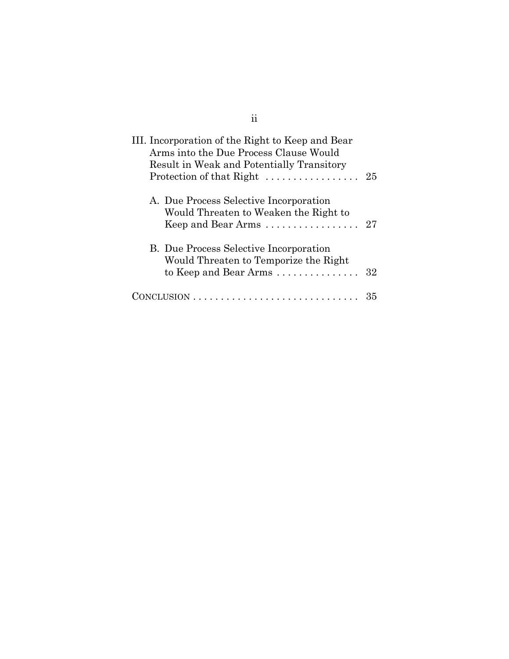| III. Incorporation of the Right to Keep and Bear<br>Arms into the Due Process Clause Would<br>Result in Weak and Potentially Transitory<br>Protection of that Right $\dots\dots\dots\dots\dots 25$ |    |
|----------------------------------------------------------------------------------------------------------------------------------------------------------------------------------------------------|----|
| A. Due Process Selective Incorporation<br>Would Threaten to Weaken the Right to<br>Keep and Bear Arms                                                                                              | 27 |
| <b>B.</b> Due Process Selective Incorporation<br>Would Threaten to Temporize the Right<br>to Keep and Bear Arms $\dots\dots\dots\dots\dots$                                                        | 32 |
|                                                                                                                                                                                                    |    |

ii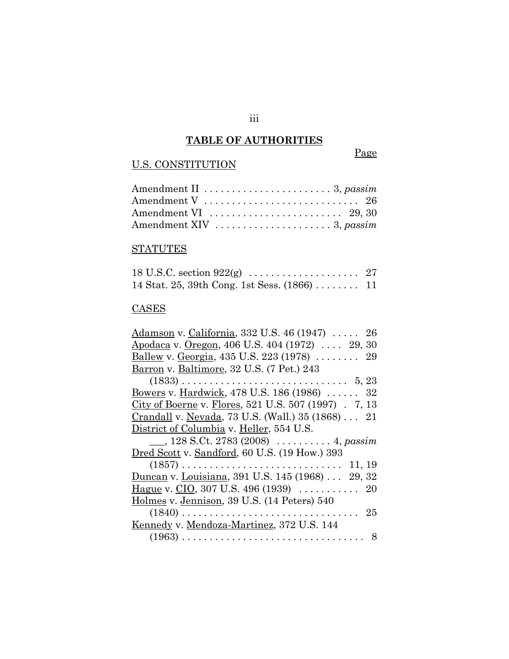## **TABLE OF AUTHORITIES**

iii

## U.S. CONSTITUTION

## Page

| Amendment VI $\dots\dots\dots\dots\dots\dots\dots 29, 30$      |
|----------------------------------------------------------------|
| Amendment XIV $\dots \dots \dots \dots \dots \dots 3$ , passim |

# **STATUTES**

| 14 Stat. 25, 39th Cong. 1st Sess. $(1866)$ 11 |  |
|-----------------------------------------------|--|

## **CASES**

| <u>Adamson</u> v. California, 332 U.S. 46 (1947)  26             |
|------------------------------------------------------------------|
| Apodaca v. Oregon, 406 U.S. 404 (1972)  29, 30                   |
| Ballew v. Georgia, 435 U.S. 223 (1978)  29                       |
| Barron v. Baltimore, 32 U.S. (7 Pet.) 243                        |
|                                                                  |
| <u>Bowers</u> v. Hardwick, 478 U.S. 186 (1986)  32               |
| City of Boerne v. Flores, 521 U.S. 507 (1997) . 7, 13            |
| Crandall v. Nevada, 73 U.S. (Wall.) 35 (1868) 21                 |
| District of Columbia v. Heller, 554 U.S.                         |
| $\_, 128$ S.Ct. 2783 (2008) $\,\,\ldots\ldots\ldots\,4$ , passim |
| Dred Scott v. Sandford, 60 U.S. (19 How.) 393                    |
|                                                                  |
| Duncan v. Louisiana, 391 U.S. 145 (1968)  29, 32                 |
|                                                                  |
| Holmes v. Jennison, 39 U.S. (14 Peters) 540                      |
|                                                                  |
|                                                                  |
| Kennedy v. Mendoza-Martinez, 372 U.S. 144                        |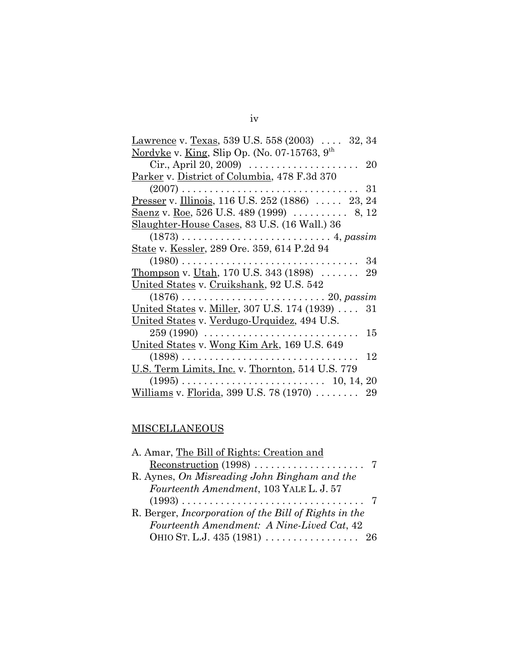| <u>Lawrence</u> v. <u>Texas</u> , 539 U.S. 558 (2003) 32, 34            |
|-------------------------------------------------------------------------|
| Nordyke v. King, Slip Op. (No. 07-15763, 9 <sup>th</sup>                |
| Cir., April 20, 2009) $\ldots \ldots \ldots \ldots \ldots \ldots$<br>20 |
| Parker v. District of Columbia, 478 F.3d 370                            |
| 31                                                                      |
| Presser v. Illinois, 116 U.S. 252 (1886)  23, 24                        |
| <u>Saenz</u> v. <u>Roe</u> , 526 U.S. 489 (1999)  8, 12                 |
| Slaughter-House Cases, 83 U.S. (16 Wall.) 36                            |
|                                                                         |
| State v. Kessler, 289 Ore. 359, 614 P.2d 94                             |
| 34                                                                      |
| Thompson v. Utah, 170 U.S. 343 (1898)<br>29                             |
| United States v. Cruikshank, 92 U.S. 542                                |
|                                                                         |
| <u>United States</u> v. Miller, 307 U.S. 174 (1939)  31                 |
| United States v. Verdugo-Urquidez, 494 U.S.                             |
| $259(1990)$<br>15                                                       |
| <u>United States</u> v. Wong Kim Ark, 169 U.S. 649                      |
| 12                                                                      |
| U.S. Term Limits, Inc. v. Thornton, 514 U.S. 779                        |
|                                                                         |
| Williams v. Florida, 399 U.S. 78 (1970) $\dots \dots$<br>29             |

# **MISCELLANEOUS**

| A. Amar, The Bill of Rights: Creation and                         |  |
|-------------------------------------------------------------------|--|
| $Reconstruction (1998) \dots \dots \dots \dots \dots \dots \dots$ |  |
| R. Aynes, On Misreading John Bingham and the                      |  |
| Fourteenth Amendment, 103 YALE L. J. 57                           |  |
|                                                                   |  |
| R. Berger, <i>Incorporation</i> of the Bill of Rights in the      |  |
| Fourteenth Amendment: A Nine-Lived Cat, 42                        |  |
|                                                                   |  |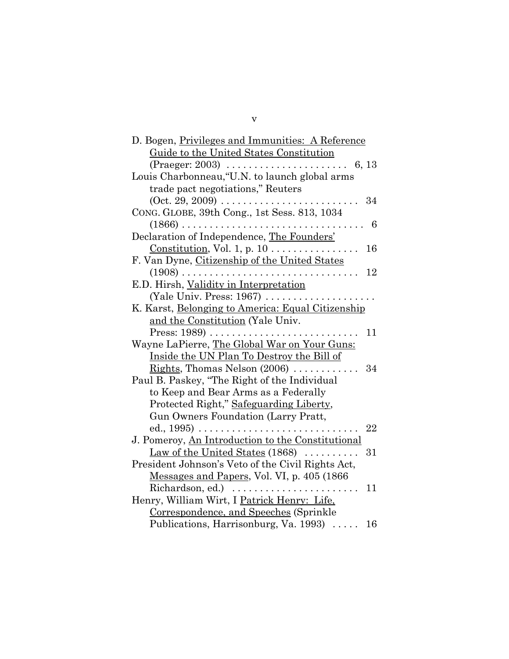| D. Bogen, Privileges and Immunities: A Reference                                       |
|----------------------------------------------------------------------------------------|
| Guide to the United States Constitution                                                |
|                                                                                        |
| Louis Charbonneau, "U.N. to launch global arms                                         |
| trade pact negotiations," Reuters                                                      |
| $(Oct. 29, 2009) \ldots \ldots \ldots \ldots \ldots$<br>34                             |
| CONG. GLOBE, 39th Cong., 1st Sess. 813, 1034                                           |
| 6                                                                                      |
| Declaration of Independence, The Founders'                                             |
| <u>Constitution</u> , Vol. 1, p. $10$<br>16                                            |
| F. Van Dyne, Citizenship of the United States                                          |
| 12                                                                                     |
| E.D. Hirsh, Validity in Interpretation                                                 |
| (Yale Univ. Press: $1967$ )                                                            |
| K. Karst, Belonging to America: Equal Citizenship                                      |
| and the Constitution (Yale Univ.                                                       |
| 11                                                                                     |
| Wayne LaPierre, The Global War on Your Guns:                                           |
| <u>Inside the UN Plan To Destroy the Bill of</u>                                       |
| <u>Rights</u> , Thomas Nelson $(2006)$<br>34<br>$\mathbf{1}$ $\mathbf{1}$ $\mathbf{1}$ |
| Paul B. Paskey, "The Right of the Individual                                           |
| to Keep and Bear Arms as a Federally                                                   |
| Protected Right," Safeguarding Liberty,                                                |
| Gun Owners Foundation (Larry Pratt,                                                    |
| 22                                                                                     |
| J. Pomeroy, An Introduction to the Constitutional                                      |
| <u>Law of the United States</u> (1868) $\ldots$<br>31                                  |
| President Johnson's Veto of the Civil Rights Act,                                      |
| Messages and Papers, Vol. VI, p. 405 (1866)                                            |
| Richardson, ed.)<br>11                                                                 |
| Henry, William Wirt, I Patrick Henry: Life,                                            |
| Correspondence, and Speeches (Sprinkle                                                 |
| Publications, Harrisonburg, Va. 1993)<br>16                                            |

v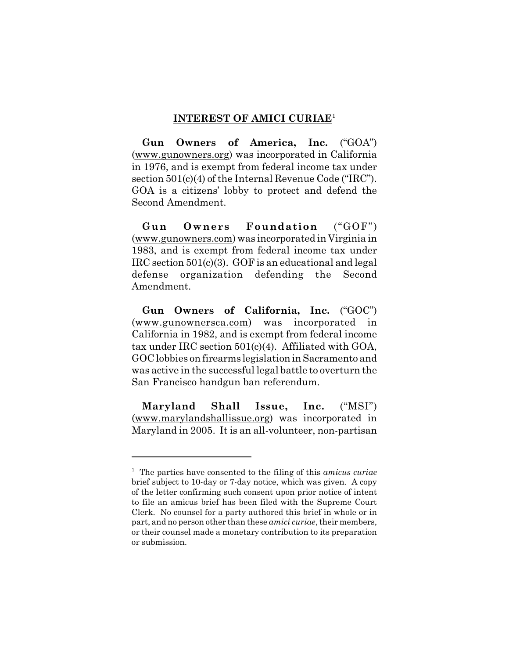#### **INTEREST OF AMICI CURIAE**<sup>1</sup>

**Gun Owners of America, Inc.** ("GOA") (www.gunowners.org) was incorporated in California in 1976, and is exempt from federal income tax under section 501(c)(4) of the Internal Revenue Code ("IRC"). GOA is a citizens' lobby to protect and defend the Second Amendment.

**Gun Owners Foundation** ("GOF") (www.gunowners.com) was incorporated in Virginia in 1983, and is exempt from federal income tax under IRC section 501(c)(3). GOF is an educational and legal defense organization defending the Second Amendment.

**Gun Owners of California, Inc.** ("GOC") (www.gunownersca.com) was incorporated in California in 1982, and is exempt from federal income tax under IRC section 501(c)(4). Affiliated with GOA, GOC lobbies on firearms legislation in Sacramento and was active in the successful legal battle to overturn the San Francisco handgun ban referendum.

**Maryland Shall Issue, Inc.** ("MSI") (www.marylandshallissue.org) was incorporated in Maryland in 2005. It is an all-volunteer, non-partisan

<sup>1</sup> The parties have consented to the filing of this *amicus curiae* brief subject to 10-day or 7-day notice, which was given. A copy of the letter confirming such consent upon prior notice of intent to file an amicus brief has been filed with the Supreme Court Clerk. No counsel for a party authored this brief in whole or in part, and no person other than these *amici curiae*, their members, or their counsel made a monetary contribution to its preparation or submission.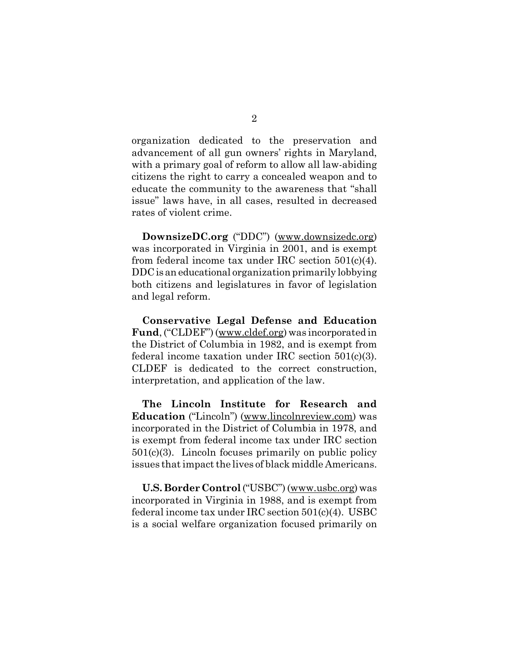organization dedicated to the preservation and advancement of all gun owners' rights in Maryland, with a primary goal of reform to allow all law-abiding citizens the right to carry a concealed weapon and to educate the community to the awareness that "shall issue" laws have, in all cases, resulted in decreased rates of violent crime.

**DownsizeDC.org** ("DDC") (www.downsizedc.org) was incorporated in Virginia in 2001, and is exempt from federal income tax under IRC section 501(c)(4). DDC is an educational organization primarily lobbying both citizens and legislatures in favor of legislation and legal reform.

**Conservative Legal Defense and Education Fund**, ("CLDEF") (www.cldef.org) was incorporated in the District of Columbia in 1982, and is exempt from federal income taxation under IRC section 501(c)(3). CLDEF is dedicated to the correct construction, interpretation, and application of the law.

**The Lincoln Institute for Research and Education** ("Lincoln") (www.lincolnreview.com) was incorporated in the District of Columbia in 1978, and is exempt from federal income tax under IRC section 501(c)(3). Lincoln focuses primarily on public policy issues that impact the lives of black middle Americans.

**U.S. Border Control** ("USBC") (www.usbc.org) was incorporated in Virginia in 1988, and is exempt from federal income tax under IRC section 501(c)(4). USBC is a social welfare organization focused primarily on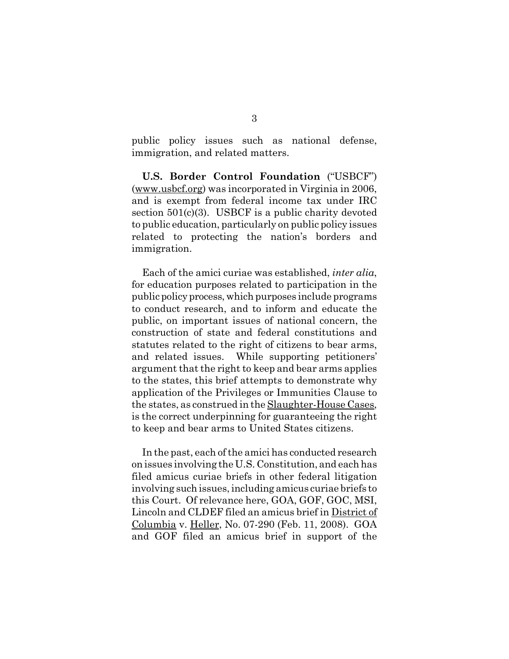public policy issues such as national defense, immigration, and related matters.

**U.S. Border Control Foundation** ("USBCF") (www.usbcf.org) was incorporated in Virginia in 2006, and is exempt from federal income tax under IRC section 501(c)(3). USBCF is a public charity devoted to public education, particularly on public policy issues related to protecting the nation's borders and immigration.

Each of the amici curiae was established, *inter alia*, for education purposes related to participation in the public policy process, which purposes include programs to conduct research, and to inform and educate the public, on important issues of national concern, the construction of state and federal constitutions and statutes related to the right of citizens to bear arms, and related issues. While supporting petitioners' argument that the right to keep and bear arms applies to the states, this brief attempts to demonstrate why application of the Privileges or Immunities Clause to the states, as construed in the Slaughter-House Cases, is the correct underpinning for guaranteeing the right to keep and bear arms to United States citizens.

In the past, each of the amici has conducted research on issues involving the U.S. Constitution, and each has filed amicus curiae briefs in other federal litigation involving such issues, including amicus curiae briefs to this Court. Of relevance here, GOA, GOF, GOC, MSI, Lincoln and CLDEF filed an amicus brief in District of Columbia v. Heller, No. 07-290 (Feb. 11, 2008). GOA and GOF filed an amicus brief in support of the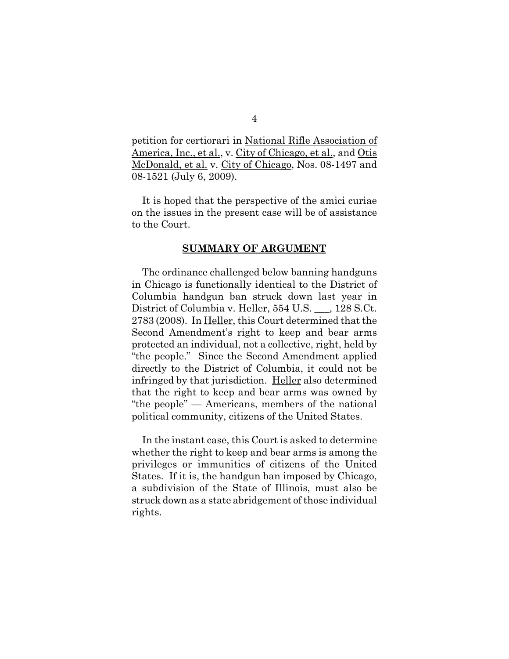petition for certiorari in National Rifle Association of America, Inc., et al., v. City of Chicago, et al., and Otis McDonald, et al. v. City of Chicago, Nos. 08-1497 and 08-1521 (July 6, 2009).

It is hoped that the perspective of the amici curiae on the issues in the present case will be of assistance to the Court.

#### **SUMMARY OF ARGUMENT**

The ordinance challenged below banning handguns in Chicago is functionally identical to the District of Columbia handgun ban struck down last year in District of Columbia v. Heller, 554 U.S. \_\_\_, 128 S.Ct. 2783 (2008). In Heller, this Court determined that the Second Amendment's right to keep and bear arms protected an individual, not a collective, right, held by "the people." Since the Second Amendment applied directly to the District of Columbia, it could not be infringed by that jurisdiction. Heller also determined that the right to keep and bear arms was owned by "the people" — Americans, members of the national political community, citizens of the United States.

In the instant case, this Court is asked to determine whether the right to keep and bear arms is among the privileges or immunities of citizens of the United States. If it is, the handgun ban imposed by Chicago, a subdivision of the State of Illinois, must also be struck down as a state abridgement of those individual rights.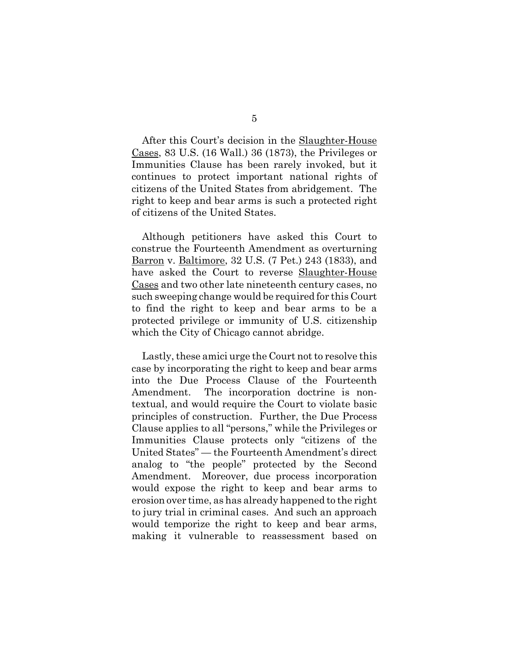After this Court's decision in the **Slaughter-House** Cases, 83 U.S. (16 Wall.) 36 (1873), the Privileges or Immunities Clause has been rarely invoked, but it continues to protect important national rights of citizens of the United States from abridgement. The right to keep and bear arms is such a protected right of citizens of the United States.

Although petitioners have asked this Court to construe the Fourteenth Amendment as overturning Barron v. Baltimore, 32 U.S. (7 Pet.) 243 (1833), and have asked the Court to reverse Slaughter-House Cases and two other late nineteenth century cases, no such sweeping change would be required for this Court to find the right to keep and bear arms to be a protected privilege or immunity of U.S. citizenship which the City of Chicago cannot abridge.

Lastly, these amici urge the Court not to resolve this case by incorporating the right to keep and bear arms into the Due Process Clause of the Fourteenth Amendment. The incorporation doctrine is nontextual, and would require the Court to violate basic principles of construction. Further, the Due Process Clause applies to all "persons," while the Privileges or Immunities Clause protects only "citizens of the United States" — the Fourteenth Amendment's direct analog to "the people" protected by the Second Amendment. Moreover, due process incorporation would expose the right to keep and bear arms to erosion over time, as has already happened to the right to jury trial in criminal cases. And such an approach would temporize the right to keep and bear arms, making it vulnerable to reassessment based on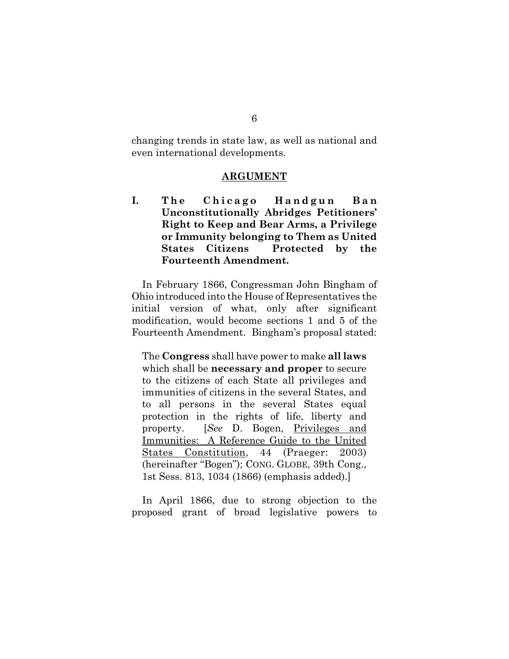changing trends in state law, as well as national and even international developments.

#### **ARGUMENT**

I. The Chicago Handgun Ban **Unconstitutionally Abridges Petitioners' Right to Keep and Bear Arms, a Privilege or Immunity belonging to Them as United States Citizens Protected by the Fourteenth Amendment.**

In February 1866, Congressman John Bingham of Ohio introduced into the House of Representatives the initial version of what, only after significant modification, would become sections 1 and 5 of the Fourteenth Amendment. Bingham's proposal stated:

The **Congress** shall have power to make **all laws** which shall be **necessary and proper** to secure to the citizens of each State all privileges and immunities of citizens in the several States, and to all persons in the several States equal protection in the rights of life, liberty and property. [*See* D. Bogen, Privileges and Immunities: A Reference Guide to the United States Constitution, 44 (Praeger: 2003) (hereinafter "Bogen"); CONG. GLOBE, 39th Cong., 1st Sess. 813, 1034 (1866) (emphasis added).]

In April 1866, due to strong objection to the proposed grant of broad legislative powers to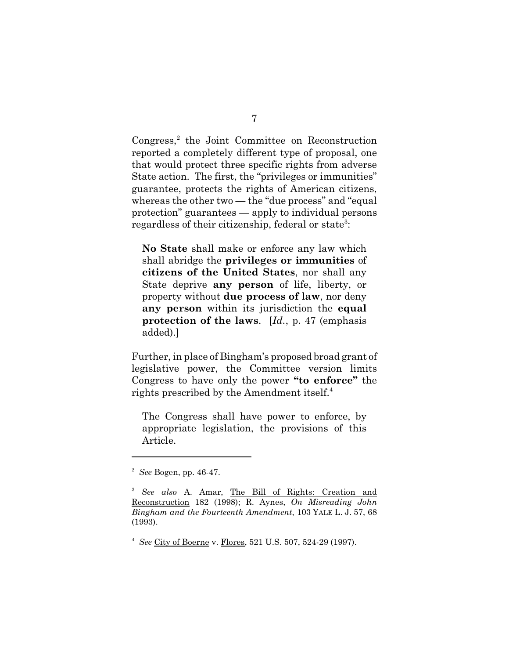Congress,<sup>2</sup> the Joint Committee on Reconstruction reported a completely different type of proposal, one that would protect three specific rights from adverse State action. The first, the "privileges or immunities" guarantee, protects the rights of American citizens, whereas the other two — the "due process" and "equal protection" guarantees — apply to individual persons regardless of their citizenship, federal or state<sup>3</sup>:

**No State** shall make or enforce any law which shall abridge the **privileges or immunities** of **citizens of the United States**, nor shall any State deprive **any person** of life, liberty, or property without **due process of law**, nor deny **any person** within its jurisdiction the **equal protection of the laws**. [*Id.*, p. 47 (emphasis added).]

Further, in place of Bingham's proposed broad grant of legislative power, the Committee version limits Congress to have only the power **"to enforce"** the rights prescribed by the Amendment itself. $^{4}$ 

The Congress shall have power to enforce, by appropriate legislation, the provisions of this Article.

<sup>2</sup> *See* Bogen, pp. 46-47.

<sup>3</sup> *See also* A. Amar, The Bill of Rights: Creation and Reconstruction 182 (1998); R. Aynes, *On Misreading John Bingham and the Fourteenth Amendment*, 103 YALE L. J. 57, 68 (1993).

<sup>4</sup> *See* City of Boerne v. Flores, 521 U.S. 507, 524-29 (1997).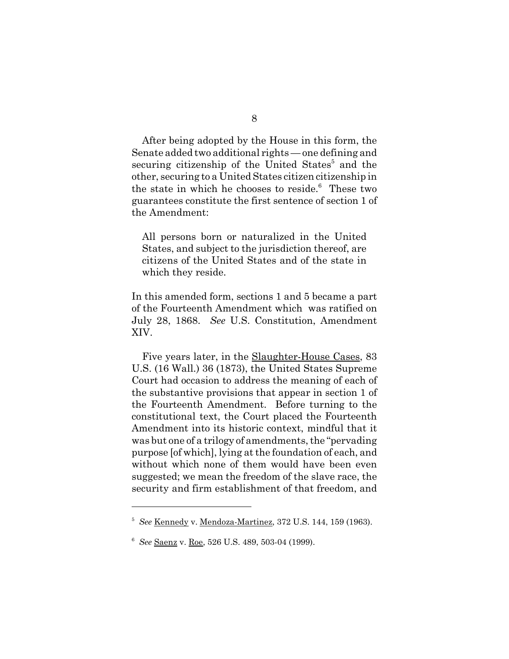After being adopted by the House in this form, the Senate added two additional rights — one defining and securing citizenship of the United States<sup>5</sup> and the other, securing to a United States citizen citizenship in the state in which he chooses to reside.<sup>6</sup> These two guarantees constitute the first sentence of section 1 of the Amendment:

All persons born or naturalized in the United States, and subject to the jurisdiction thereof, are citizens of the United States and of the state in which they reside.

In this amended form, sections 1 and 5 became a part of the Fourteenth Amendment which was ratified on July 28, 1868. *See* U.S. Constitution, Amendment XIV.

Five years later, in the Slaughter-House Cases, 83 U.S. (16 Wall.) 36 (1873), the United States Supreme Court had occasion to address the meaning of each of the substantive provisions that appear in section 1 of the Fourteenth Amendment. Before turning to the constitutional text, the Court placed the Fourteenth Amendment into its historic context, mindful that it was but one of a trilogy of amendments, the "pervading purpose [of which], lying at the foundation of each, and without which none of them would have been even suggested; we mean the freedom of the slave race, the security and firm establishment of that freedom, and

<sup>5</sup> *See* Kennedy v. Mendoza-Martinez, 372 U.S. 144, 159 (1963).

<sup>6</sup> *See* Saenz v. Roe, 526 U.S. 489, 503-04 (1999).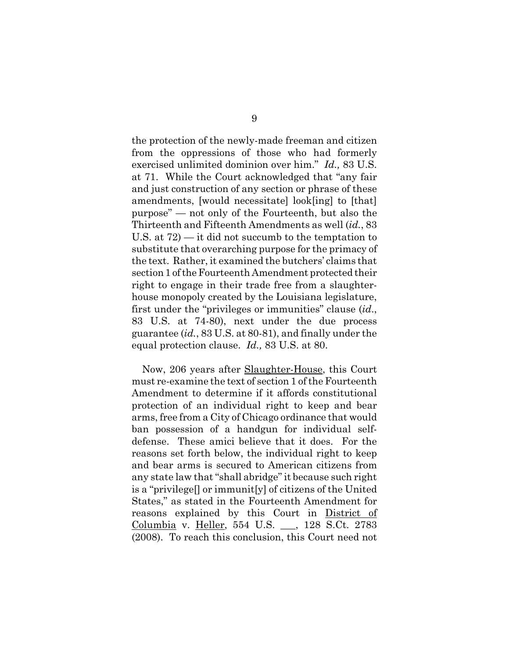the protection of the newly-made freeman and citizen from the oppressions of those who had formerly exercised unlimited dominion over him." *Id.,* 83 U.S. at 71. While the Court acknowledged that "any fair and just construction of any section or phrase of these amendments, [would necessitate] look[ing] to [that] purpose" — not only of the Fourteenth, but also the Thirteenth and Fifteenth Amendments as well (*id.*, 83 U.S. at 72) — it did not succumb to the temptation to substitute that overarching purpose for the primacy of the text. Rather, it examined the butchers' claims that section 1 of the Fourteenth Amendment protected their right to engage in their trade free from a slaughterhouse monopoly created by the Louisiana legislature, first under the "privileges or immunities" clause (*id*., 83 U.S. at 74-80), next under the due process guarantee (*id.*, 83 U.S. at 80-81), and finally under the equal protection clause. *Id.,* 83 U.S. at 80.

Now, 206 years after Slaughter-House, this Court must re-examine the text of section 1 of the Fourteenth Amendment to determine if it affords constitutional protection of an individual right to keep and bear arms, free from a City of Chicago ordinance that would ban possession of a handgun for individual selfdefense. These amici believe that it does. For the reasons set forth below, the individual right to keep and bear arms is secured to American citizens from any state law that "shall abridge" it because such right is a "privilege[] or immunit[y] of citizens of the United States," as stated in the Fourteenth Amendment for reasons explained by this Court in District of Columbia v. Heller, 554 U.S. \_\_\_, 128 S.Ct. 2783 (2008). To reach this conclusion, this Court need not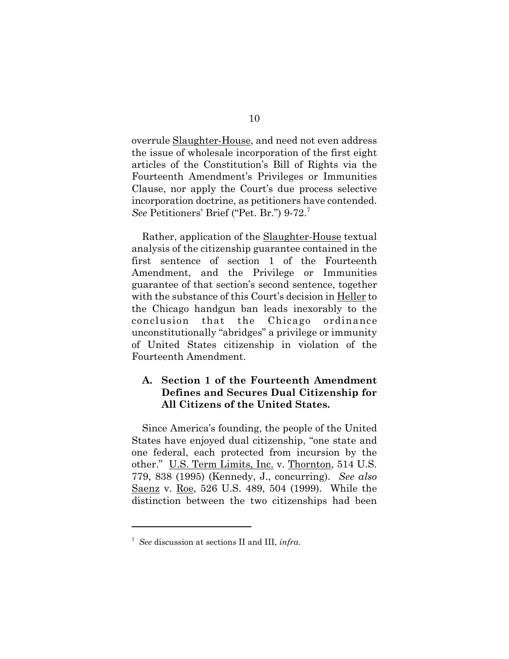overrule Slaughter-House, and need not even address the issue of wholesale incorporation of the first eight articles of the Constitution's Bill of Rights via the Fourteenth Amendment's Privileges or Immunities Clause, nor apply the Court's due process selective incorporation doctrine, as petitioners have contended. *See* Petitioners' Brief ("Pet. Br.") 9-72.<sup>7</sup>

Rather, application of the <u>Slaughter-House</u> textual analysis of the citizenship guarantee contained in the first sentence of section 1 of the Fourteenth Amendment, and the Privilege or Immunities guarantee of that section's second sentence, together with the substance of this Court's decision in Heller to the Chicago handgun ban leads inexorably to the conclusion that the Chicago ordinance unconstitutionally "abridges" a privilege or immunity of United States citizenship in violation of the Fourteenth Amendment.

## **A. Section 1 of the Fourteenth Amendment Defines and Secures Dual Citizenship for All Citizens of the United States.**

Since America's founding, the people of the United States have enjoyed dual citizenship, "one state and one federal, each protected from incursion by the other." U.S. Term Limits, Inc. v. Thornton, 514 U.S. 779, 838 (1995) (Kennedy, J., concurring). *See also* Saenz v. Roe, 526 U.S. 489, 504 (1999). While the distinction between the two citizenships had been

<sup>7</sup> *See* discussion at sections II and III, *infra*.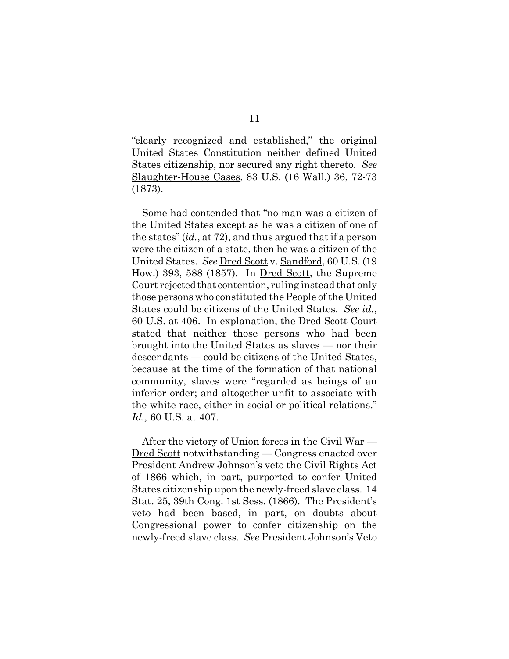"clearly recognized and established," the original United States Constitution neither defined United States citizenship, nor secured any right thereto. *See* Slaughter-House Cases, 83 U.S. (16 Wall.) 36, 72-73 (1873).

Some had contended that "no man was a citizen of the United States except as he was a citizen of one of the states" (*id.*, at 72), and thus argued that if a person were the citizen of a state, then he was a citizen of the United States. *See* Dred Scott v. Sandford, 60 U.S. (19 How.) 393, 588 (1857). In <u>Dred Scott</u>, the Supreme Court rejected that contention, ruling instead that only those persons who constituted the People of the United States could be citizens of the United States. *See id.*, 60 U.S. at 406. In explanation, the Dred Scott Court stated that neither those persons who had been brought into the United States as slaves — nor their descendants — could be citizens of the United States, because at the time of the formation of that national community, slaves were "regarded as beings of an inferior order; and altogether unfit to associate with the white race, either in social or political relations." *Id.,* 60 U.S. at 407.

After the victory of Union forces in the Civil War — Dred Scott notwithstanding — Congress enacted over President Andrew Johnson's veto the Civil Rights Act of 1866 which, in part, purported to confer United States citizenship upon the newly-freed slave class. 14 Stat. 25, 39th Cong. 1st Sess. (1866). The President's veto had been based, in part, on doubts about Congressional power to confer citizenship on the newly-freed slave class. *See* President Johnson's Veto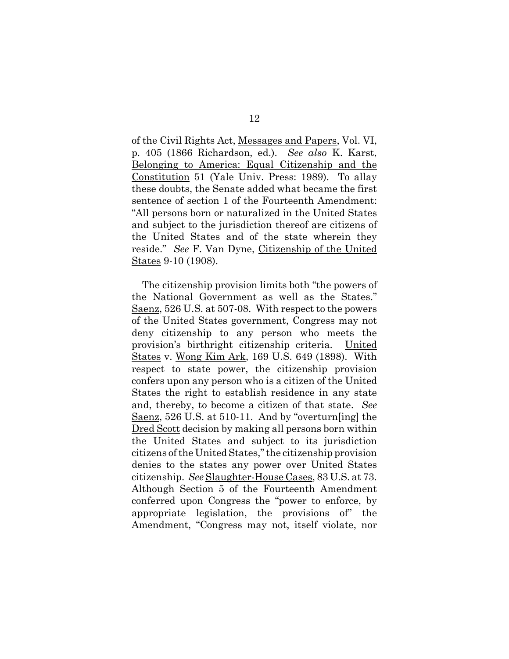of the Civil Rights Act, Messages and Papers, Vol. VI, p. 405 (1866 Richardson, ed.). *See also* K. Karst, Belonging to America: Equal Citizenship and the Constitution 51 (Yale Univ. Press: 1989). To allay these doubts, the Senate added what became the first sentence of section 1 of the Fourteenth Amendment: "All persons born or naturalized in the United States and subject to the jurisdiction thereof are citizens of the United States and of the state wherein they reside." *See* F. Van Dyne, Citizenship of the United States 9-10 (1908).

The citizenship provision limits both "the powers of the National Government as well as the States." Saenz, 526 U.S. at 507-08. With respect to the powers of the United States government, Congress may not deny citizenship to any person who meets the provision's birthright citizenship criteria. United States v. Wong Kim Ark, 169 U.S. 649 (1898). With respect to state power, the citizenship provision confers upon any person who is a citizen of the United States the right to establish residence in any state and, thereby, to become a citizen of that state. *See* Saenz, 526 U.S. at 510-11. And by "overturn[ing] the Dred Scott decision by making all persons born within the United States and subject to its jurisdiction citizens of the United States," the citizenship provision denies to the states any power over United States citizenship. *See* Slaughter-House Cases, 83 U.S. at 73. Although Section 5 of the Fourteenth Amendment conferred upon Congress the "power to enforce, by appropriate legislation, the provisions of" the Amendment, "Congress may not, itself violate, nor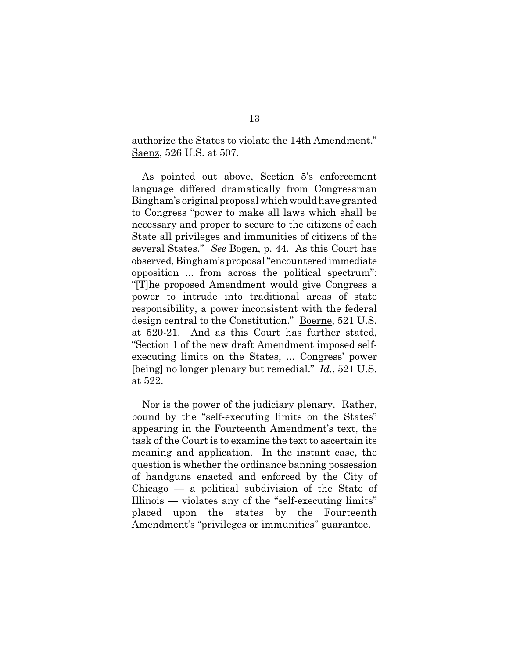authorize the States to violate the 14th Amendment." Saenz, 526 U.S. at 507.

As pointed out above, Section 5's enforcement language differed dramatically from Congressman Bingham's original proposal which would have granted to Congress "power to make all laws which shall be necessary and proper to secure to the citizens of each State all privileges and immunities of citizens of the several States." *See* Bogen, p. 44. As this Court has observed, Bingham's proposal "encountered immediate opposition ... from across the political spectrum": "[T]he proposed Amendment would give Congress a power to intrude into traditional areas of state responsibility, a power inconsistent with the federal design central to the Constitution." Boerne, 521 U.S. at 520-21. And as this Court has further stated, "Section 1 of the new draft Amendment imposed selfexecuting limits on the States, ... Congress' power [being] no longer plenary but remedial." *Id.*, 521 U.S. at 522.

Nor is the power of the judiciary plenary. Rather, bound by the "self-executing limits on the States" appearing in the Fourteenth Amendment's text, the task of the Court is to examine the text to ascertain its meaning and application. In the instant case, the question is whether the ordinance banning possession of handguns enacted and enforced by the City of Chicago — a political subdivision of the State of Illinois — violates any of the "self-executing limits" placed upon the states by the Fourteenth Amendment's "privileges or immunities" guarantee.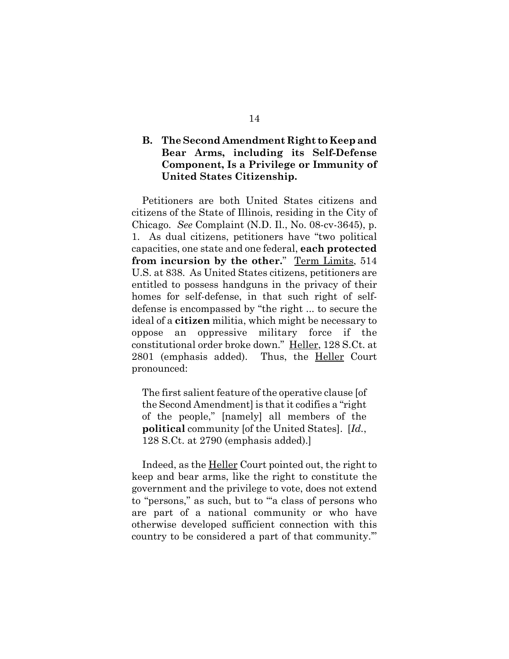### **B. The Second Amendment Right to Keep and Bear Arms, including its Self-Defense Component, Is a Privilege or Immunity of United States Citizenship.**

Petitioners are both United States citizens and citizens of the State of Illinois, residing in the City of Chicago. *See* Complaint (N.D. Il., No. 08-cv-3645), p. 1. As dual citizens, petitioners have "two political capacities, one state and one federal, **each protected from incursion by the other.**" Term Limits, 514 U.S. at 838. As United States citizens, petitioners are entitled to possess handguns in the privacy of their homes for self-defense, in that such right of selfdefense is encompassed by "the right ... to secure the ideal of a **citizen** militia, which might be necessary to oppose an oppressive military force if the constitutional order broke down." Heller, 128 S.Ct. at 2801 (emphasis added). Thus, the Heller Court pronounced:

The first salient feature of the operative clause [of the Second Amendment] is that it codifies a "right of the people," [namely] all members of the **political** community [of the United States]. [*Id.*, 128 S.Ct. at 2790 (emphasis added).]

Indeed, as the Heller Court pointed out, the right to keep and bear arms, like the right to constitute the government and the privilege to vote, does not extend to "persons," as such, but to "'a class of persons who are part of a national community or who have otherwise developed sufficient connection with this country to be considered a part of that community.'"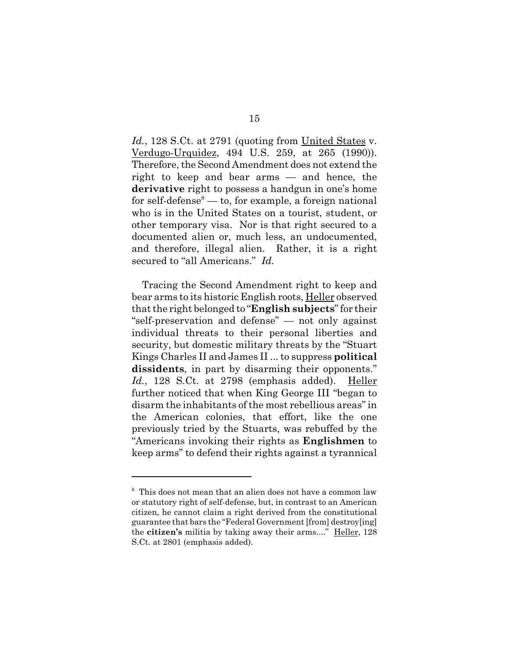Id., 128 S.Ct. at 2791 (quoting from United States v. Verdugo-Urquidez, 494 U.S. 259, at 265 (1990)). Therefore, the Second Amendment does not extend the right to keep and bear arms — and hence, the **derivative** right to possess a handgun in one's home for self-defense<sup>8</sup> — to, for example, a foreign national who is in the United States on a tourist, student, or other temporary visa. Nor is that right secured to a documented alien or, much less, an undocumented, and therefore, illegal alien. Rather, it is a right secured to "all Americans." *Id.*

Tracing the Second Amendment right to keep and bear arms to its historic English roots, Heller observed that the right belonged to "**English subjects**" for their "self-preservation and defense" — not only against individual threats to their personal liberties and security, but domestic military threats by the "Stuart Kings Charles II and James II ... to suppress **political dissidents**, in part by disarming their opponents." *Id.*, 128 S.Ct. at 2798 (emphasis added). Heller further noticed that when King George III "began to disarm the inhabitants of the most rebellious areas" in the American colonies, that effort, like the one previously tried by the Stuarts, was rebuffed by the "Americans invoking their rights as **Englishmen** to keep arms" to defend their rights against a tyrannical

<sup>8</sup> This does not mean that an alien does not have a common law or statutory right of self-defense, but, in contrast to an American citizen, he cannot claim a right derived from the constitutional guarantee that bars the "Federal Government [from] destroy[ing] the **citizen's** militia by taking away their arms...." Heller, 128 S.Ct. at 2801 (emphasis added).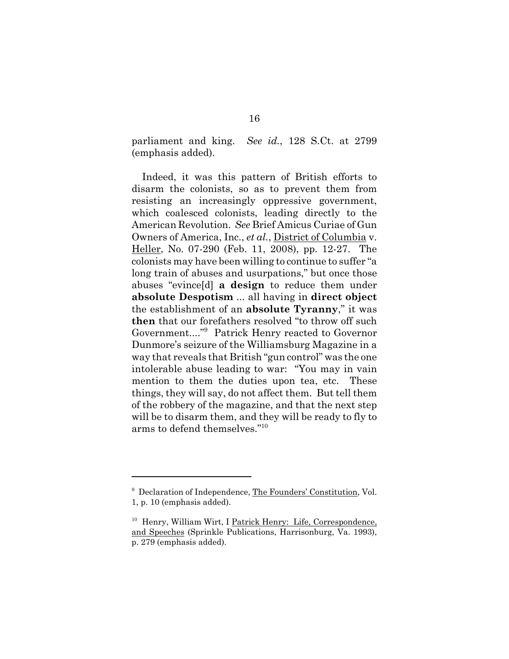parliament and king. *See id.*, 128 S.Ct. at 2799 (emphasis added).

Indeed, it was this pattern of British efforts to disarm the colonists, so as to prevent them from resisting an increasingly oppressive government, which coalesced colonists, leading directly to the American Revolution. *See* Brief Amicus Curiae of Gun Owners of America, Inc., *et al.*, District of Columbia v. Heller, No. 07-290 (Feb. 11, 2008), pp. 12-27. The colonists may have been willing to continue to suffer "a long train of abuses and usurpations," but once those abuses "evince[d] **a design** to reduce them under **absolute Despotism** ... all having in **direct object** the establishment of an **absolute Tyranny**," it was **then** that our forefathers resolved "to throw off such Government...."9 Patrick Henry reacted to Governor Dunmore's seizure of the Williamsburg Magazine in a way that reveals that British "gun control" was the one intolerable abuse leading to war: "You may in vain mention to them the duties upon tea, etc. These things, they will say, do not affect them. But tell them of the robbery of the magazine, and that the next step will be to disarm them, and they will be ready to fly to arms to defend themselves."10

<sup>&</sup>lt;sup>9</sup> Declaration of Independence, The Founders' Constitution, Vol. 1, p. 10 (emphasis added).

<sup>&</sup>lt;sup>10</sup> Henry, William Wirt, I Patrick Henry: Life, Correspondence, and Speeches (Sprinkle Publications, Harrisonburg, Va. 1993), p. 279 (emphasis added).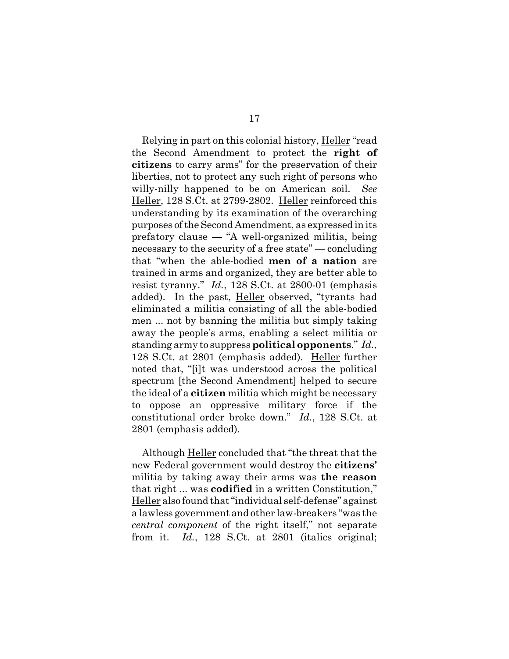Relying in part on this colonial history, Heller "read" the Second Amendment to protect the **right of citizens** to carry arms" for the preservation of their liberties, not to protect any such right of persons who willy-nilly happened to be on American soil. *See* Heller, 128 S.Ct. at 2799-2802. Heller reinforced this understanding by its examination of the overarching purposes of the Second Amendment, as expressed in its prefatory clause — "A well-organized militia, being necessary to the security of a free state" — concluding that "when the able-bodied **men of a nation** are trained in arms and organized, they are better able to resist tyranny." *Id.*, 128 S.Ct. at 2800-01 (emphasis added). In the past, Heller observed, "tyrants had eliminated a militia consisting of all the able-bodied men ... not by banning the militia but simply taking away the people's arms, enabling a select militia or standing army to suppress **political opponents**." *Id.*, 128 S.Ct. at 2801 (emphasis added). Heller further noted that, "[i]t was understood across the political spectrum [the Second Amendment] helped to secure the ideal of a **citizen** militia which might be necessary to oppose an oppressive military force if the constitutional order broke down." *Id.*, 128 S.Ct. at 2801 (emphasis added).

Although Heller concluded that "the threat that the new Federal government would destroy the **citizens'** militia by taking away their arms was **the reason** that right ... was **codified** in a written Constitution," Heller also found that "individual self-defense" against a lawless government and other law-breakers "was the *central component* of the right itself," not separate from it. *Id.*, 128 S.Ct. at 2801 (italics original;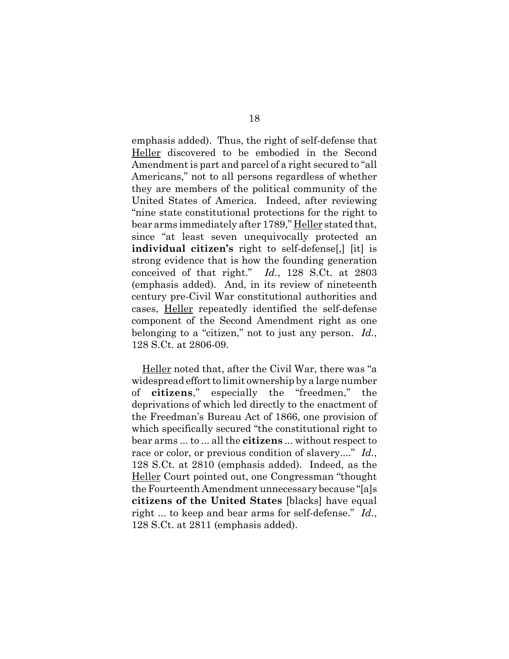emphasis added). Thus, the right of self-defense that Heller discovered to be embodied in the Second Amendment is part and parcel of a right secured to "all Americans," not to all persons regardless of whether they are members of the political community of the United States of America. Indeed, after reviewing "nine state constitutional protections for the right to bear arms immediately after 1789," Heller stated that, since "at least seven unequivocally protected an **individual citizen's** right to self-defense[,] [it] is strong evidence that is how the founding generation conceived of that right." *Id.*, 128 S.Ct. at 2803 (emphasis added). And, in its review of nineteenth century pre-Civil War constitutional authorities and cases, Heller repeatedly identified the self-defense component of the Second Amendment right as one belonging to a "citizen," not to just any person. *Id.*, 128 S.Ct. at 2806-09.

Heller noted that, after the Civil War, there was "a widespread effort to limit ownership by a large number of **citizens**," especially the "freedmen," the deprivations of which led directly to the enactment of the Freedman's Bureau Act of 1866, one provision of which specifically secured "the constitutional right to bear arms ... to ... all the **citizens** ... without respect to race or color, or previous condition of slavery...." *Id.*, 128 S.Ct. at 2810 (emphasis added). Indeed, as the Heller Court pointed out, one Congressman "thought the Fourteenth Amendment unnecessary because "[a]s **citizens of the United States** [blacks] have equal right ... to keep and bear arms for self-defense." *Id.*, 128 S.Ct. at 2811 (emphasis added).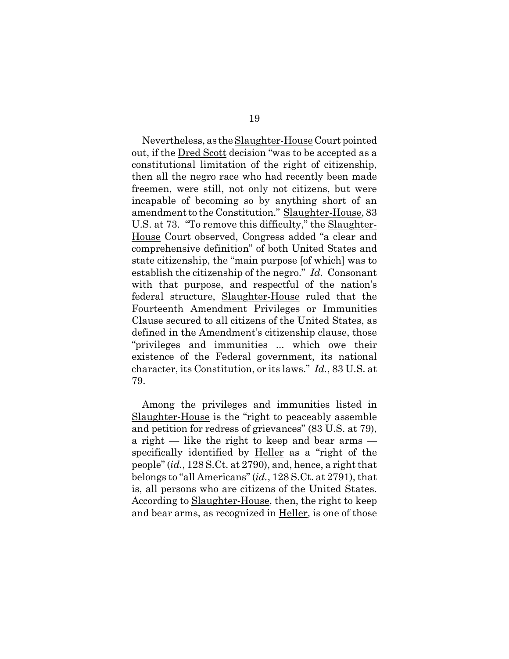Nevertheless, as the <u>Slaughter-House</u> Court pointed out, if the Dred Scott decision "was to be accepted as a constitutional limitation of the right of citizenship, then all the negro race who had recently been made freemen, were still, not only not citizens, but were incapable of becoming so by anything short of an amendment to the Constitution." Slaughter-House, 83 U.S. at 73. "To remove this difficulty," the Slaughter-House Court observed, Congress added "a clear and comprehensive definition" of both United States and state citizenship, the "main purpose [of which] was to establish the citizenship of the negro." *Id.* Consonant with that purpose, and respectful of the nation's federal structure, Slaughter-House ruled that the Fourteenth Amendment Privileges or Immunities Clause secured to all citizens of the United States, as defined in the Amendment's citizenship clause, those "privileges and immunities ... which owe their existence of the Federal government, its national character, its Constitution, or its laws." *Id.*, 83 U.S. at 79.

Among the privileges and immunities listed in Slaughter-House is the "right to peaceably assemble and petition for redress of grievances" (83 U.S. at 79), a right — like the right to keep and bear arms specifically identified by **Heller** as a "right of the people" (*id.*, 128 S.Ct. at 2790), and, hence, a right that belongs to "all Americans" (*id.*, 128 S.Ct. at 2791), that is, all persons who are citizens of the United States. According to Slaughter-House, then, the right to keep and bear arms, as recognized in Heller, is one of those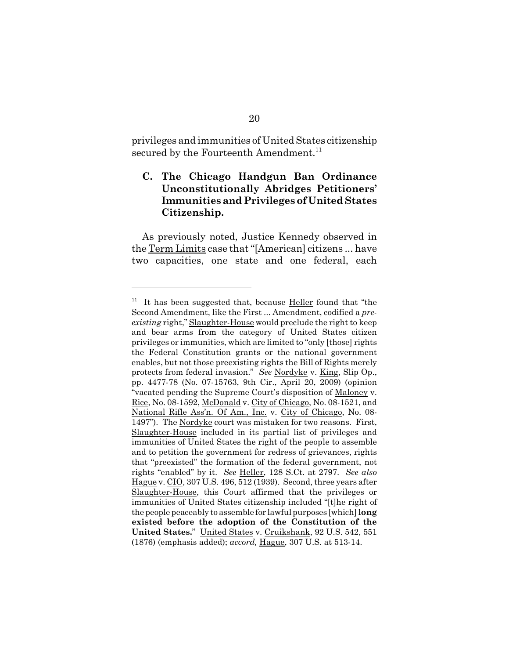privileges and immunities of United States citizenship secured by the Fourteenth Amendment.<sup>11</sup>

## **C. The Chicago Handgun Ban Ordinance Unconstitutionally Abridges Petitioners' Immunities and Privileges of United States Citizenship.**

As previously noted, Justice Kennedy observed in the Term Limits case that "[American] citizens ... have two capacities, one state and one federal, each

 $11$  It has been suggested that, because Heller found that "the Second Amendment, like the First ... Amendment, codified a *preexisting* right," Slaughter-House would preclude the right to keep and bear arms from the category of United States citizen privileges or immunities, which are limited to "only [those] rights the Federal Constitution grants or the national government enables, but not those preexisting rights the Bill of Rights merely protects from federal invasion." *See* Nordyke v. King, Slip Op., pp. 4477-78 (No. 07-15763, 9th Cir., April 20, 2009) (opinion "vacated pending the Supreme Court's disposition of Maloney v. Rice, No. 08-1592, McDonald v. City of Chicago, No. 08-1521, and National Rifle Ass'n. Of Am., Inc. v. City of Chicago, No. 08- 1497"). The Nordyke court was mistaken for two reasons. First, Slaughter-House included in its partial list of privileges and immunities of United States the right of the people to assemble and to petition the government for redress of grievances, rights that "preexisted" the formation of the federal government, not rights "enabled" by it. *See* Heller, 128 S.Ct. at 2797. *See also* Hague v. CIO, 307 U.S. 496, 512 (1939). Second, three years after Slaughter-House, this Court affirmed that the privileges or immunities of United States citizenship included "[t]he right of the people peaceably to assemble for lawful purposes [which] **long existed before the adoption of the Constitution of the United States.**" United States v. Cruikshank, 92 U.S. 542, 551 (1876) (emphasis added); *accord,* Hague, 307 U.S. at 513-14.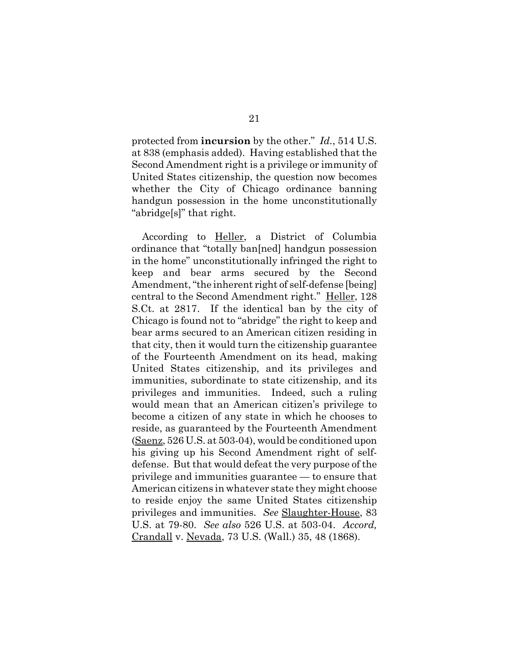protected from **incursion** by the other." *Id.*, 514 U.S. at 838 (emphasis added). Having established that the Second Amendment right is a privilege or immunity of United States citizenship, the question now becomes whether the City of Chicago ordinance banning handgun possession in the home unconstitutionally "abridge[s]" that right.

According to <u>Heller</u>, a District of Columbia ordinance that "totally ban[ned] handgun possession in the home" unconstitutionally infringed the right to keep and bear arms secured by the Second Amendment, "the inherent right of self-defense [being] central to the Second Amendment right." Heller, 128 S.Ct. at 2817. If the identical ban by the city of Chicago is found not to "abridge" the right to keep and bear arms secured to an American citizen residing in that city, then it would turn the citizenship guarantee of the Fourteenth Amendment on its head, making United States citizenship, and its privileges and immunities, subordinate to state citizenship, and its privileges and immunities. Indeed, such a ruling would mean that an American citizen's privilege to become a citizen of any state in which he chooses to reside, as guaranteed by the Fourteenth Amendment (Saenz, 526 U.S. at 503-04), would be conditioned upon his giving up his Second Amendment right of selfdefense. But that would defeat the very purpose of the privilege and immunities guarantee — to ensure that American citizens in whatever state they might choose to reside enjoy the same United States citizenship privileges and immunities. *See* Slaughter-House, 83 U.S. at 79-80. *See also* 526 U.S. at 503-04. *Accord,* Crandall v. Nevada, 73 U.S. (Wall.) 35, 48 (1868).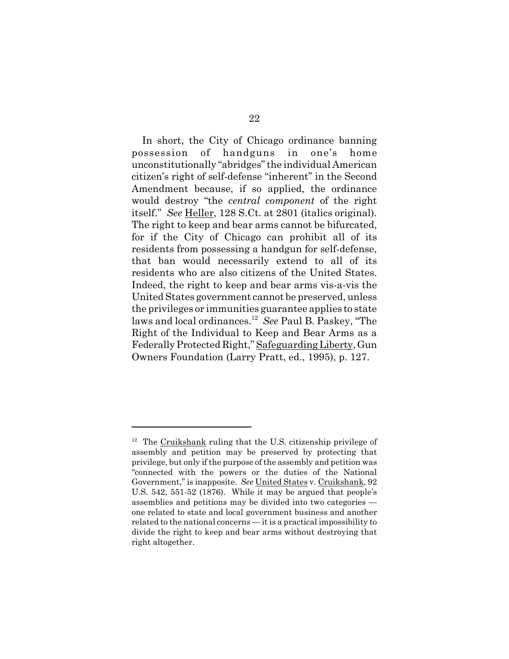In short, the City of Chicago ordinance banning possession of handguns in one's home unconstitutionally "abridges" the individual American citizen's right of self-defense "inherent" in the Second Amendment because, if so applied, the ordinance would destroy "the *central component* of the right itself." *See* Heller, 128 S.Ct. at 2801 (italics original). The right to keep and bear arms cannot be bifurcated, for if the City of Chicago can prohibit all of its residents from possessing a handgun for self-defense, that ban would necessarily extend to all of its residents who are also citizens of the United States. Indeed, the right to keep and bear arms vis-a-vis the United States government cannot be preserved, unless the privileges or immunities guarantee applies to state laws and local ordinances.12 *See* Paul B. Paskey, "The Right of the Individual to Keep and Bear Arms as a Federally Protected Right," Safeguarding Liberty, Gun Owners Foundation (Larry Pratt, ed., 1995), p. 127.

 $12$  The Cruikshank ruling that the U.S. citizenship privilege of assembly and petition may be preserved by protecting that privilege, but only if the purpose of the assembly and petition was "connected with the powers or the duties of the National Government," is inapposite. *See* United States v. Cruikshank, 92 U.S. 542, 551-52 (1876). While it may be argued that people's assemblies and petitions may be divided into two categories one related to state and local government business and another related to the national concerns — it is a practical impossibility to divide the right to keep and bear arms without destroying that right altogether.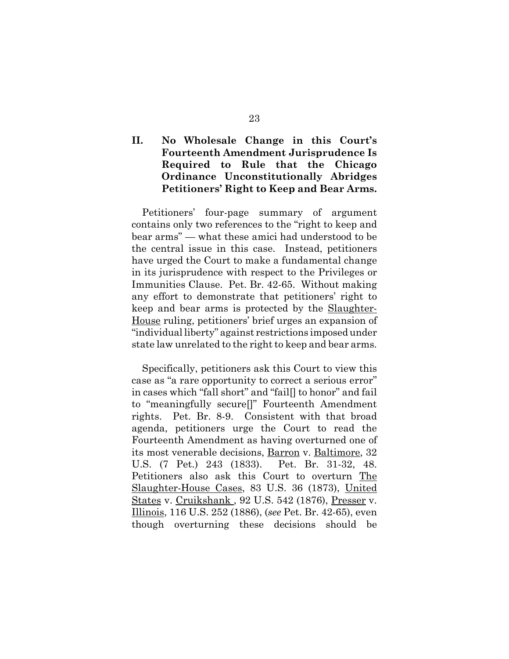## **II. No Wholesale Change in this Court's Fourteenth Amendment Jurisprudence Is Required to Rule that the Chicago Ordinance Unconstitutionally Abridges Petitioners' Right to Keep and Bear Arms.**

Petitioners' four-page summary of argument contains only two references to the "right to keep and bear arms" — what these amici had understood to be the central issue in this case. Instead, petitioners have urged the Court to make a fundamental change in its jurisprudence with respect to the Privileges or Immunities Clause. Pet. Br. 42-65. Without making any effort to demonstrate that petitioners' right to keep and bear arms is protected by the Slaughter-House ruling, petitioners' brief urges an expansion of "individual liberty" against restrictions imposed under state law unrelated to the right to keep and bear arms.

Specifically, petitioners ask this Court to view this case as "a rare opportunity to correct a serious error" in cases which "fall short" and "fail[] to honor" and fail to "meaningfully secure[]" Fourteenth Amendment rights. Pet. Br. 8-9. Consistent with that broad agenda, petitioners urge the Court to read the Fourteenth Amendment as having overturned one of its most venerable decisions, Barron v. Baltimore, 32 U.S. (7 Pet.) 243 (1833). Pet. Br. 31-32, 48. Petitioners also ask this Court to overturn The Slaughter-House Cases, 83 U.S. 36 (1873), United States v. Cruikshank , 92 U.S. 542 (1876), Presser v. Illinois, 116 U.S. 252 (1886), (*see* Pet. Br. 42-65), even though overturning these decisions should be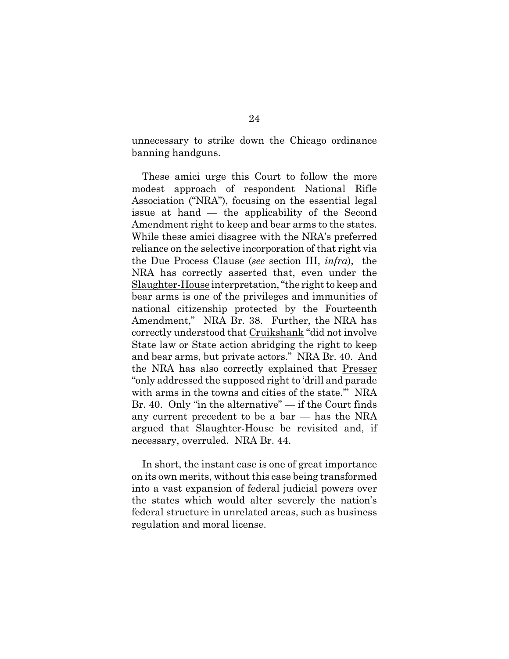unnecessary to strike down the Chicago ordinance banning handguns.

These amici urge this Court to follow the more modest approach of respondent National Rifle Association ("NRA"), focusing on the essential legal issue at hand — the applicability of the Second Amendment right to keep and bear arms to the states. While these amici disagree with the NRA's preferred reliance on the selective incorporation of that right via the Due Process Clause (*see* section III, *infra*), the NRA has correctly asserted that, even under the Slaughter-House interpretation, "the right to keep and bear arms is one of the privileges and immunities of national citizenship protected by the Fourteenth Amendment," NRA Br. 38. Further, the NRA has correctly understood that Cruikshank "did not involve State law or State action abridging the right to keep and bear arms, but private actors." NRA Br. 40. And the NRA has also correctly explained that Presser "only addressed the supposed right to 'drill and parade with arms in the towns and cities of the state.'" NRA Br. 40. Only "in the alternative" — if the Court finds any current precedent to be a bar — has the NRA argued that Slaughter-House be revisited and, if necessary, overruled. NRA Br. 44.

In short, the instant case is one of great importance on its own merits, without this case being transformed into a vast expansion of federal judicial powers over the states which would alter severely the nation's federal structure in unrelated areas, such as business regulation and moral license.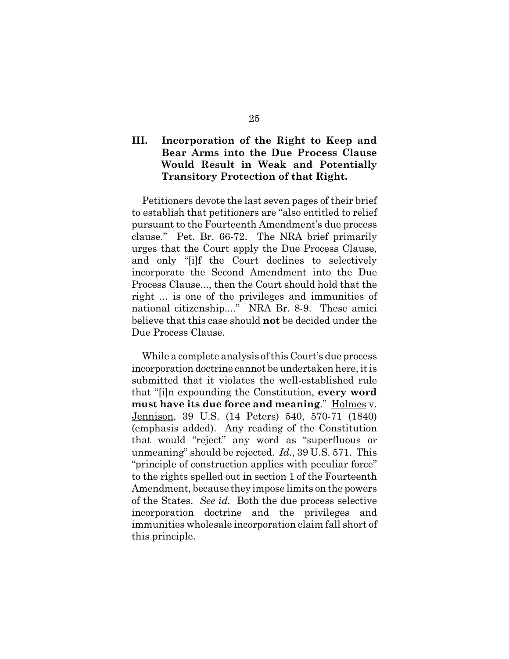## **III. Incorporation of the Right to Keep and Bear Arms into the Due Process Clause Would Result in Weak and Potentially Transitory Protection of that Right.**

Petitioners devote the last seven pages of their brief to establish that petitioners are "also entitled to relief pursuant to the Fourteenth Amendment's due process clause." Pet. Br. 66-72. The NRA brief primarily urges that the Court apply the Due Process Clause, and only "[i]f the Court declines to selectively incorporate the Second Amendment into the Due Process Clause..., then the Court should hold that the right ... is one of the privileges and immunities of national citizenship...." NRA Br. 8-9. These amici believe that this case should **not** be decided under the Due Process Clause.

While a complete analysis of this Court's due process incorporation doctrine cannot be undertaken here, it is submitted that it violates the well-established rule that "[i]n expounding the Constitution, **every word must have its due force and meaning**." Holmes v. Jennison, 39 U.S. (14 Peters) 540, 570-71 (1840) (emphasis added). Any reading of the Constitution that would "reject" any word as "superfluous or unmeaning" should be rejected. *Id.*, 39 U.S. 571. This "principle of construction applies with peculiar force" to the rights spelled out in section 1 of the Fourteenth Amendment, because they impose limits on the powers of the States. *See id.* Both the due process selective incorporation doctrine and the privileges and immunities wholesale incorporation claim fall short of this principle.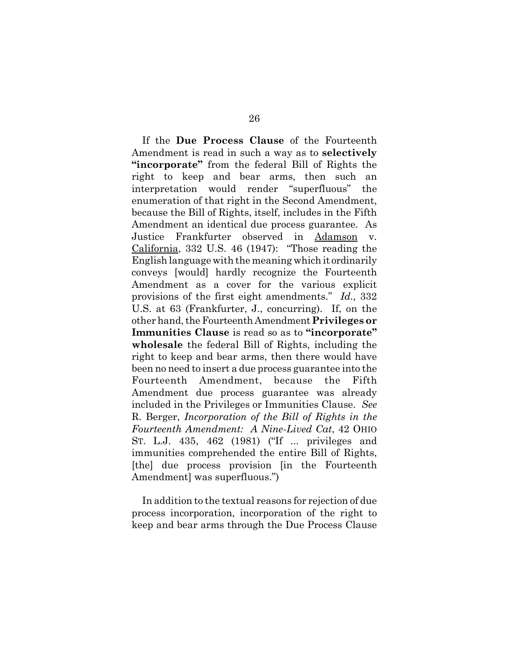If the **Due Process Clause** of the Fourteenth Amendment is read in such a way as to **selectively "incorporate"** from the federal Bill of Rights the right to keep and bear arms, then such an interpretation would render "superfluous" the enumeration of that right in the Second Amendment, because the Bill of Rights, itself, includes in the Fifth Amendment an identical due process guarantee. As Justice Frankfurter observed in Adamson v. California, 332 U.S. 46 (1947): "Those reading the English language with the meaning which it ordinarily conveys [would] hardly recognize the Fourteenth Amendment as a cover for the various explicit provisions of the first eight amendments." *Id.,* 332 U.S. at 63 (Frankfurter, J., concurring). If, on the other hand, the Fourteenth Amendment **Privileges or Immunities Clause** is read so as to **"incorporate" wholesale** the federal Bill of Rights, including the right to keep and bear arms, then there would have been no need to insert a due process guarantee into the Fourteenth Amendment, because the Fifth Amendment due process guarantee was already included in the Privileges or Immunities Clause. *See* R. Berger, *Incorporation of the Bill of Rights in the Fourteenth Amendment: A Nine-Lived Cat*, 42 OHIO ST. L.J. 435, 462 (1981) ("If ... privileges and immunities comprehended the entire Bill of Rights, [the] due process provision [in the Fourteenth Amendment] was superfluous.")

In addition to the textual reasons for rejection of due process incorporation, incorporation of the right to keep and bear arms through the Due Process Clause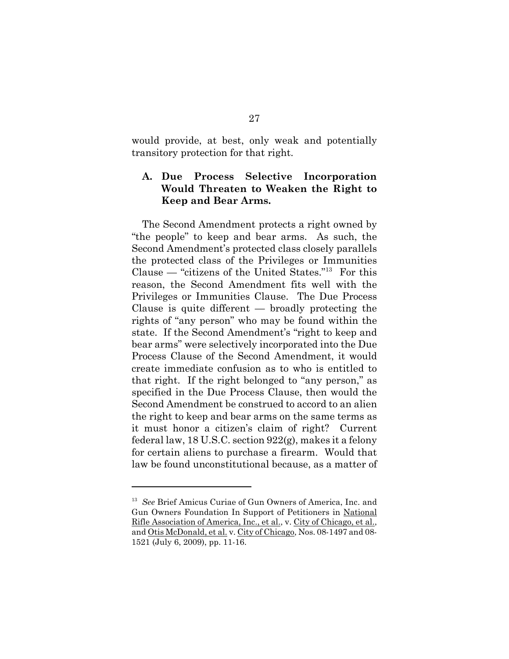would provide, at best, only weak and potentially transitory protection for that right.

## **A. Due Process Selective Incorporation Would Threaten to Weaken the Right to Keep and Bear Arms.**

The Second Amendment protects a right owned by "the people" to keep and bear arms. As such, the Second Amendment's protected class closely parallels the protected class of the Privileges or Immunities Clause — "citizens of the United States."13 For this reason, the Second Amendment fits well with the Privileges or Immunities Clause. The Due Process Clause is quite different — broadly protecting the rights of "any person" who may be found within the state. If the Second Amendment's "right to keep and bear arms" were selectively incorporated into the Due Process Clause of the Second Amendment, it would create immediate confusion as to who is entitled to that right. If the right belonged to "any person," as specified in the Due Process Clause, then would the Second Amendment be construed to accord to an alien the right to keep and bear arms on the same terms as it must honor a citizen's claim of right? Current federal law, 18 U.S.C. section 922(g), makes it a felony for certain aliens to purchase a firearm. Would that law be found unconstitutional because, as a matter of

<sup>13</sup> *See* Brief Amicus Curiae of Gun Owners of America, Inc. and Gun Owners Foundation In Support of Petitioners in National Rifle Association of America, Inc., et al., v. City of Chicago, et al., and Otis McDonald, et al. v. City of Chicago, Nos. 08-1497 and 08- 1521 (July 6, 2009), pp. 11-16.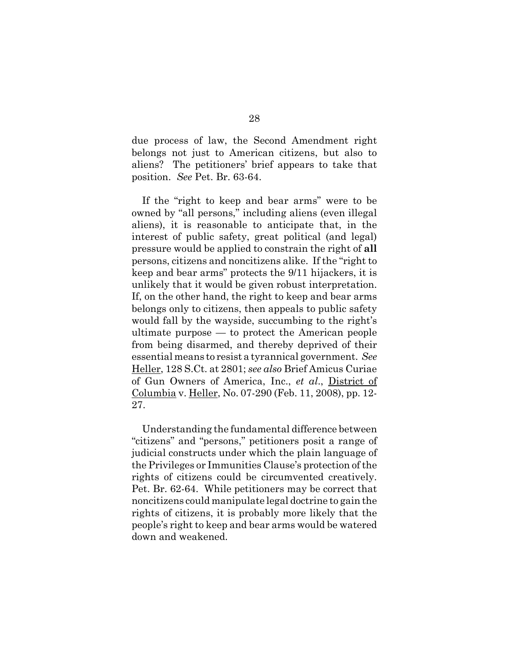due process of law, the Second Amendment right belongs not just to American citizens, but also to aliens? The petitioners' brief appears to take that position. *See* Pet. Br. 63-64.

If the "right to keep and bear arms" were to be owned by "all persons," including aliens (even illegal aliens), it is reasonable to anticipate that, in the interest of public safety, great political (and legal) pressure would be applied to constrain the right of **all** persons, citizens and noncitizens alike. If the "right to keep and bear arms" protects the 9/11 hijackers, it is unlikely that it would be given robust interpretation. If, on the other hand, the right to keep and bear arms belongs only to citizens, then appeals to public safety would fall by the wayside, succumbing to the right's ultimate purpose — to protect the American people from being disarmed, and thereby deprived of their essential means to resist a tyrannical government. *See* Heller, 128 S.Ct. at 2801; *see also* Brief Amicus Curiae of Gun Owners of America, Inc., *et al*., District of Columbia v. Heller, No. 07-290 (Feb. 11, 2008), pp. 12- 27.

Understanding the fundamental difference between "citizens" and "persons," petitioners posit a range of judicial constructs under which the plain language of the Privileges or Immunities Clause's protection of the rights of citizens could be circumvented creatively. Pet. Br. 62-64. While petitioners may be correct that noncitizens could manipulate legal doctrine to gain the rights of citizens, it is probably more likely that the people's right to keep and bear arms would be watered down and weakened.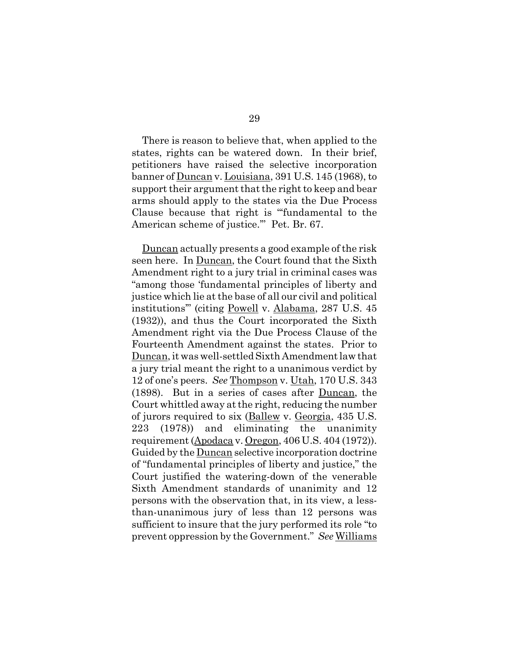There is reason to believe that, when applied to the states, rights can be watered down. In their brief, petitioners have raised the selective incorporation banner of Duncan v. Louisiana, 391 U.S. 145 (1968), to support their argument that the right to keep and bear arms should apply to the states via the Due Process Clause because that right is "'fundamental to the American scheme of justice.'" Pet. Br. 67.

Duncan actually presents a good example of the risk seen here. In Duncan, the Court found that the Sixth Amendment right to a jury trial in criminal cases was "among those 'fundamental principles of liberty and justice which lie at the base of all our civil and political institutions'" (citing Powell v. Alabama, 287 U.S. 45 (1932)), and thus the Court incorporated the Sixth Amendment right via the Due Process Clause of the Fourteenth Amendment against the states. Prior to Duncan, it was well-settled Sixth Amendment law that a jury trial meant the right to a unanimous verdict by 12 of one's peers. *See* Thompson v. Utah, 170 U.S. 343 (1898). But in a series of cases after Duncan, the Court whittled away at the right, reducing the number of jurors required to six (Ballew v. Georgia, 435 U.S. 223 (1978)) and eliminating the unanimity requirement (Apodaca v. Oregon, 406 U.S. 404 (1972)). Guided by the Duncan selective incorporation doctrine of "fundamental principles of liberty and justice," the Court justified the watering-down of the venerable Sixth Amendment standards of unanimity and 12 persons with the observation that, in its view, a lessthan-unanimous jury of less than 12 persons was sufficient to insure that the jury performed its role "to prevent oppression by the Government." *See* Williams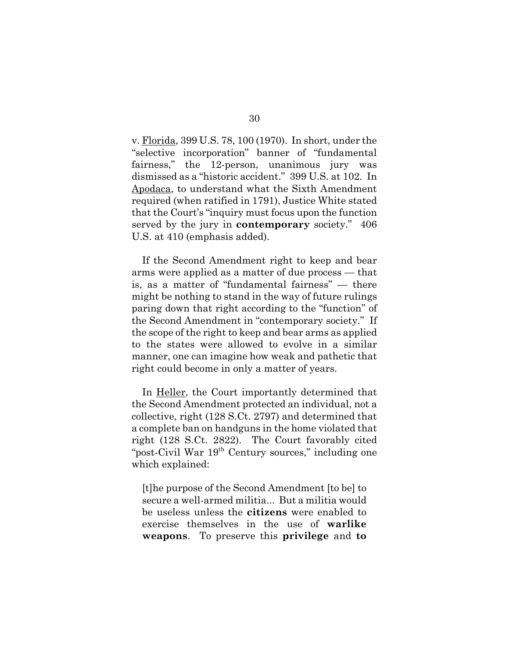v. Florida, 399 U.S. 78, 100 (1970). In short, under the "selective incorporation" banner of "fundamental fairness," the 12-person, unanimous jury was dismissed as a "historic accident." 399 U.S. at 102. In Apodaca, to understand what the Sixth Amendment required (when ratified in 1791), Justice White stated that the Court's "inquiry must focus upon the function served by the jury in **contemporary** society." 406 U.S. at 410 (emphasis added).

If the Second Amendment right to keep and bear arms were applied as a matter of due process — that is, as a matter of "fundamental fairness" — there might be nothing to stand in the way of future rulings paring down that right according to the "function" of the Second Amendment in "contemporary society." If the scope of the right to keep and bear arms as applied to the states were allowed to evolve in a similar manner, one can imagine how weak and pathetic that right could become in only a matter of years.

In <u>Heller</u>, the Court importantly determined that the Second Amendment protected an individual, not a collective, right (128 S.Ct. 2797) and determined that a complete ban on handguns in the home violated that right (128 S.Ct. 2822). The Court favorably cited "post-Civil War 19<sup>th</sup> Century sources," including one which explained:

[t]he purpose of the Second Amendment [to be] to secure a well-armed militia... But a militia would be useless unless the **citizens** were enabled to exercise themselves in the use of **warlike weapons**. To preserve this **privilege** and **to**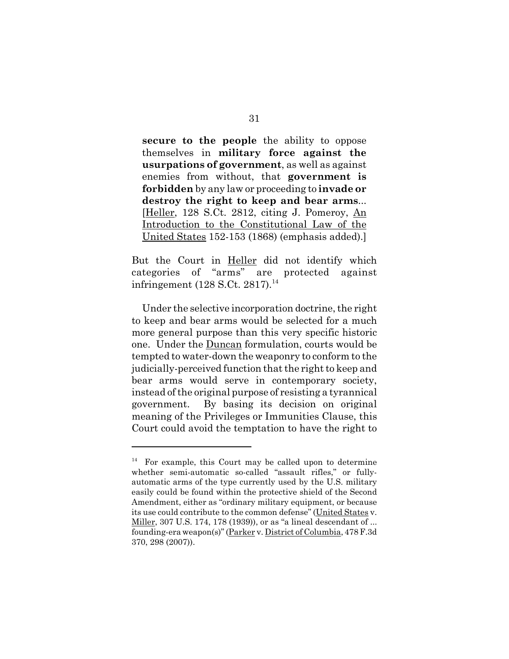**secure to the people** the ability to oppose themselves in **military force against the usurpations of government**, as well as against enemies from without, that **government is forbidden** by any law or proceeding to **invade or destroy the right to keep and bear arms**... [Heller, 128 S.Ct. 2812, citing J. Pomeroy, An Introduction to the Constitutional Law of the United States 152-153 (1868) (emphasis added).]

But the Court in Heller did not identify which categories of "arms" are protected against infringement (128 S.Ct. 2817).<sup>14</sup>

Under the selective incorporation doctrine, the right to keep and bear arms would be selected for a much more general purpose than this very specific historic one. Under the Duncan formulation, courts would be tempted to water-down the weaponry to conform to the judicially-perceived function that the right to keep and bear arms would serve in contemporary society, instead of the original purpose of resisting a tyrannical government. By basing its decision on original meaning of the Privileges or Immunities Clause, this Court could avoid the temptation to have the right to

For example, this Court may be called upon to determine whether semi-automatic so-called "assault rifles," or fullyautomatic arms of the type currently used by the U.S. military easily could be found within the protective shield of the Second Amendment, either as "ordinary military equipment, or because its use could contribute to the common defense" (United States v. Miller, 307 U.S. 174, 178 (1939)), or as "a lineal descendant of ... founding-era weapon(s)" (Parker v. District of Columbia, 478 F.3d 370, 298 (2007)).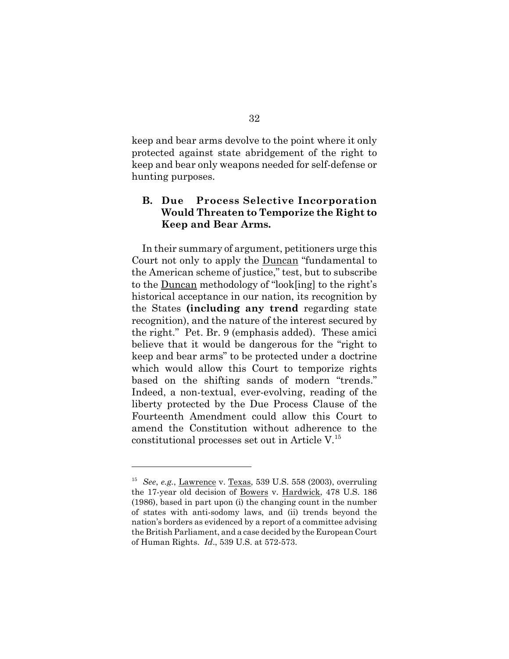keep and bear arms devolve to the point where it only protected against state abridgement of the right to keep and bear only weapons needed for self-defense or hunting purposes.

## **B. Due Process Selective Incorporation Would Threaten to Temporize the Right to Keep and Bear Arms.**

In their summary of argument, petitioners urge this Court not only to apply the Duncan "fundamental to the American scheme of justice," test, but to subscribe to the Duncan methodology of "look[ing] to the right's historical acceptance in our nation, its recognition by the States **(including any trend** regarding state recognition), and the nature of the interest secured by the right." Pet. Br. 9 (emphasis added). These amici believe that it would be dangerous for the "right to keep and bear arms" to be protected under a doctrine which would allow this Court to temporize rights based on the shifting sands of modern "trends." Indeed, a non-textual, ever-evolving, reading of the liberty protected by the Due Process Clause of the Fourteenth Amendment could allow this Court to amend the Constitution without adherence to the constitutional processes set out in Article V.<sup>15</sup>

<sup>15</sup> *See*, *e.g.*, Lawrence v. Texas, 539 U.S. 558 (2003), overruling the 17-year old decision of Bowers v. Hardwick, 478 U.S. 186 (1986), based in part upon (i) the changing count in the number of states with anti-sodomy laws, and (ii) trends beyond the nation's borders as evidenced by a report of a committee advising the British Parliament, and a case decided by the European Court of Human Rights. *Id*., 539 U.S. at 572-573.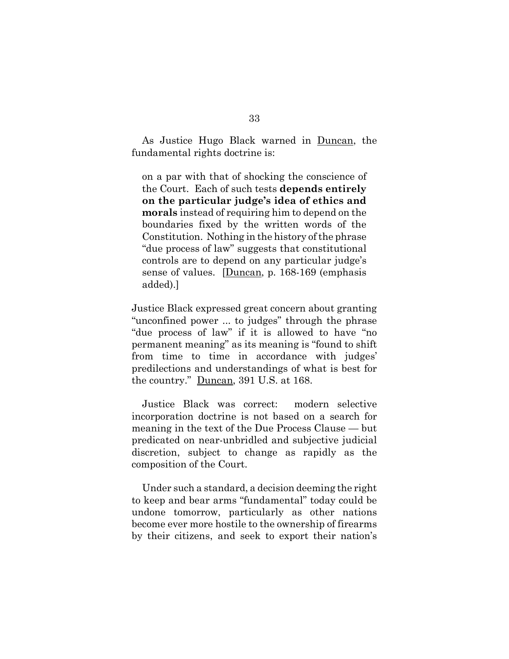As Justice Hugo Black warned in Duncan, the fundamental rights doctrine is:

on a par with that of shocking the conscience of the Court. Each of such tests **depends entirely on the particular judge's idea of ethics and morals** instead of requiring him to depend on the boundaries fixed by the written words of the Constitution. Nothing in the history of the phrase "due process of law" suggests that constitutional controls are to depend on any particular judge's sense of values. [Duncan, p. 168-169 (emphasis added).]

Justice Black expressed great concern about granting "unconfined power ... to judges" through the phrase "due process of law" if it is allowed to have "no permanent meaning" as its meaning is "found to shift from time to time in accordance with judges' predilections and understandings of what is best for the country." Duncan, 391 U.S. at 168.

Justice Black was correct: modern selective incorporation doctrine is not based on a search for meaning in the text of the Due Process Clause — but predicated on near-unbridled and subjective judicial discretion, subject to change as rapidly as the composition of the Court.

Under such a standard, a decision deeming the right to keep and bear arms "fundamental" today could be undone tomorrow, particularly as other nations become ever more hostile to the ownership of firearms by their citizens, and seek to export their nation's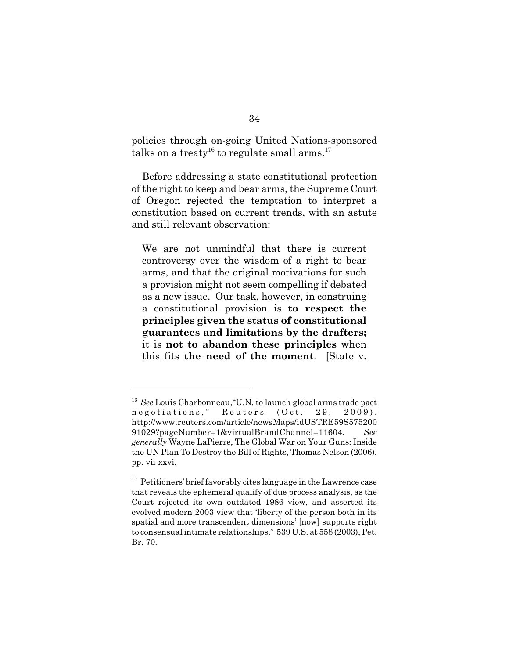policies through on-going United Nations-sponsored talks on a treaty<sup>16</sup> to regulate small arms.<sup>17</sup>

Before addressing a state constitutional protection of the right to keep and bear arms, the Supreme Court of Oregon rejected the temptation to interpret a constitution based on current trends, with an astute and still relevant observation:

We are not unmindful that there is current controversy over the wisdom of a right to bear arms, and that the original motivations for such a provision might not seem compelling if debated as a new issue. Our task, however, in construing a constitutional provision is **to respect the principles given the status of constitutional guarantees and limitations by the drafters;** it is **not to abandon these principles** when this fits **the need of the moment**. [State v.

<sup>16</sup> *See* Louis Charbonneau,"U.N. to launch global arms trade pact negotiations," Reuters (Oct. 29, 2009). http://www.reuters.com/article/newsMaps/idUSTRE59S575200 91029?pageNumber=1&virtualBrandChannel=11604. *See generally* Wayne LaPierre, The Global War on Your Guns: Inside the UN Plan To Destroy the Bill of Rights, Thomas Nelson (2006), pp. vii-xxvi.

<sup>&</sup>lt;sup>17</sup> Petitioners' brief favorably cites language in the Lawrence case that reveals the ephemeral qualify of due process analysis, as the Court rejected its own outdated 1986 view, and asserted its evolved modern 2003 view that 'liberty of the person both in its spatial and more transcendent dimensions' [now] supports right to consensual intimate relationships." 539 U.S. at 558 (2003), Pet. Br. 70.